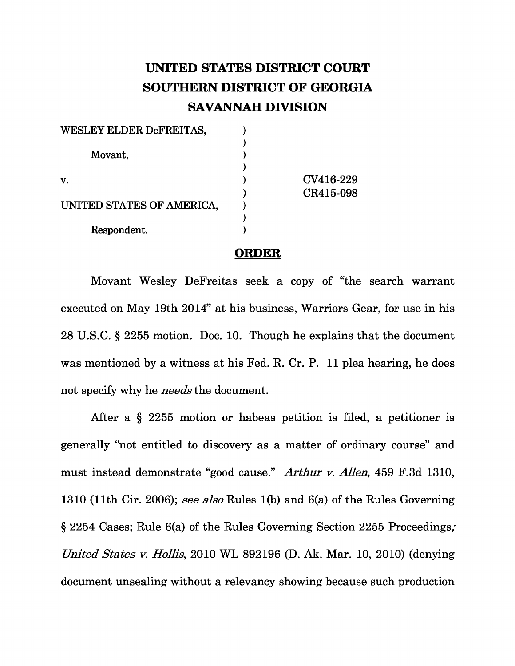## **UNITED STATES DISTRICT COURT SOUTHERN DISTRICT OF GEORGIA SAVANNAH DIVISION**

| WESLEY ELDER DeFREITAS,   |           |
|---------------------------|-----------|
|                           |           |
| Movant,                   |           |
|                           |           |
| V.                        | CV416-229 |
|                           | CR415-098 |
| UNITED STATES OF AMERICA, |           |
|                           |           |
| Respondent.               |           |

## **ORDER**

Movant Wesley DeFreitas seek a copy of "the search warrant executed on May 19th 2014" at his business, Warriors Gear, for use in his 28 U.S.C. § 2255 motion. Doc. 10. Though he explains that the document was mentioned by a witness at his Fed. R. Cr. P. 11 plea hearing, he does not specify why he *needs* the document.

After a § 2255 motion or habeas petition is filed, a petitioner is generally "not entitled to discovery as a matter of ordinary course" and must instead demonstrate "good cause." Arthur v. Allen, 459 F.3d 1310, 1310 (11th Cir. 2006); *see also* Rules 1(b) and 6(a) of the Rules Governing § 2254 Cases; Rule 6(a) of the Rules Governing Section 2255 Proceedings *; United States v. Hollis*, 2010 WL 892196 (D. Ak. Mar. 10, 2010) (denying document unsealing without a relevancy showing because such production